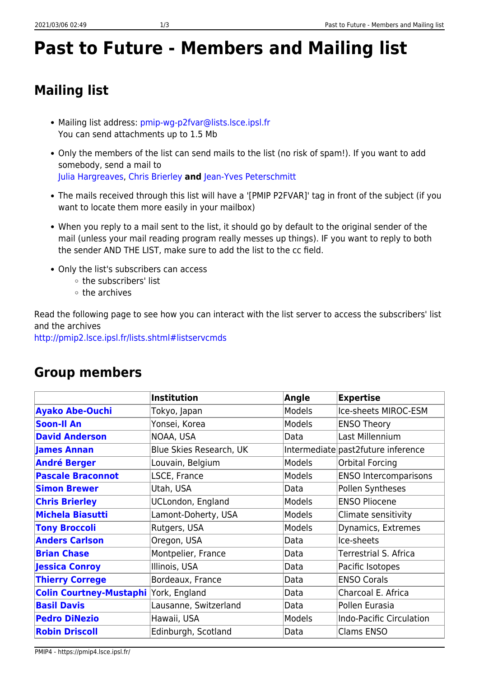## **Past to Future - Members and Mailing list**

## **Mailing list**

- Mailing list address: [pmip-wg-p2fvar@lists.lsce.ipsl.fr](mailto:pmip-wg-p2fvar@lists.lsce.ipsl.fr) You can send attachments up to 1.5 Mb
- Only the members of the list can send mails to the list (no risk of spam!). If you want to add somebody, send a mail to [Julia Hargreaves,](mailto:jules@blueskiesresearch.org.uk) [Chris Brierley](mailto:c.brierley@ucl.ac.uk) **and** [Jean-Yves Peterschmitt](mailto:jean-yves.peterschmitt@lsce.ipsl.fr)
- The mails received through this list will have a '[PMIP P2FVAR]' tag in front of the subject (if you want to locate them more easily in your mailbox)
- When you reply to a mail sent to the list, it should go by default to the original sender of the mail (unless your mail reading program really messes up things). IF you want to reply to both the sender AND THE LIST, make sure to add the list to the cc field.
- Only the list's subscribers can access
	- the subscribers' list
	- $\circ$  the archives

Read the following page to see how you can interact with the list server to access the subscribers' list and the archives

<http://pmip2.lsce.ipsl.fr/lists.shtml#listservcmds>

## **Group members**

|                                | <b>Institution</b>       | Angle  | <b>Expertise</b>                    |
|--------------------------------|--------------------------|--------|-------------------------------------|
| <b>Ayako Abe-Ouchi</b>         | Tokyo, Japan             | Models | Ice-sheets MIROC-ESM                |
| <b>Soon-Il An</b>              | Yonsei, Korea            | Models | <b>ENSO Theory</b>                  |
| <b>David Anderson</b>          | NOAA, USA                | Data   | Last Millennium                     |
| <b>James Annan</b>             | Blue Skies Research, UK  |        | Intermediate past2 future inference |
| <b>André Berger</b>            | Louvain, Belgium         | Models | <b>Orbital Forcing</b>              |
| <b>Pascale Braconnot</b>       | LSCE, France             | Models | <b>ENSO Intercomparisons</b>        |
| <b>Simon Brewer</b>            | Utah, USA                | Data   | Pollen Syntheses                    |
| <b>Chris Brierley</b>          | <b>UCLondon, England</b> | Models | <b>ENSO Pliocene</b>                |
| <b>Michela Biasutti</b>        | Lamont-Doherty, USA      | Models | Climate sensitivity                 |
| <b>Tony Broccoli</b>           | Rutgers, USA             | Models | Dynamics, Extremes                  |
| <b>Anders Carlson</b>          | Oregon, USA              | Data   | Ice-sheets                          |
| <b>Brian Chase</b>             | Montpelier, France       | Data   | Terrestrial S. Africa               |
| <b>Jessica Conroy</b>          | Illinois, USA            | Data   | Pacific Isotopes                    |
| <b>Thierry Correge</b>         | Bordeaux, France         | Data   | <b>ENSO Corals</b>                  |
| <b>Colin Courtney-Mustaphi</b> | York, England            | Data   | Charcoal E. Africa                  |
| <b>Basil Davis</b>             | Lausanne, Switzerland    | Data   | Pollen Eurasia                      |
| <b>Pedro DiNezio</b>           | Hawaii, USA              | Models | <b>Indo-Pacific Circulation</b>     |
| <b>Robin Driscoll</b>          | Edinburgh, Scotland      | Data   | <b>Clams ENSO</b>                   |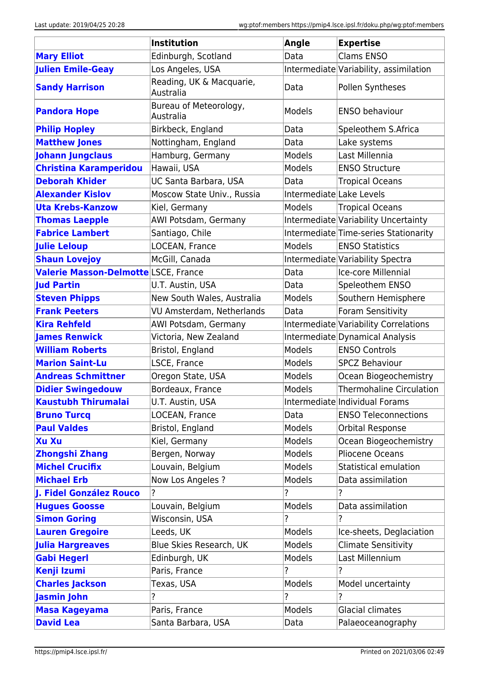|                                      | <b>Institution</b>                    | <b>Angle</b>             | <b>Expertise</b>                       |
|--------------------------------------|---------------------------------------|--------------------------|----------------------------------------|
| <b>Mary Elliot</b>                   | Edinburgh, Scotland                   | Data                     | <b>Clams ENSO</b>                      |
| <b>Julien Emile-Geay</b>             | Los Angeles, USA                      |                          | Intermediate Variability, assimilation |
| <b>Sandy Harrison</b>                | Reading, UK & Macquarie,<br>Australia | Data                     | Pollen Syntheses                       |
| <b>Pandora Hope</b>                  | Bureau of Meteorology,<br>Australia   | Models                   | <b>ENSO behaviour</b>                  |
| <b>Philip Hopley</b>                 | Birkbeck, England                     | Data                     | Speleothem S.Africa                    |
| <b>Matthew Jones</b>                 | Nottingham, England                   | Data                     | Lake systems                           |
| <b>Johann Jungclaus</b>              | Hamburg, Germany                      | Models                   | Last Millennia                         |
| <b>Christina Karamperidou</b>        | Hawaii, USA                           | Models                   | <b>ENSO Structure</b>                  |
| <b>Deborah Khider</b>                | UC Santa Barbara, USA                 | Data                     | <b>Tropical Oceans</b>                 |
| <b>Alexander Kislov</b>              | Moscow State Univ., Russia            | Intermediate Lake Levels |                                        |
| <b>Uta Krebs-Kanzow</b>              | Kiel, Germany                         | Models                   | <b>Tropical Oceans</b>                 |
| <b>Thomas Laepple</b>                | AWI Potsdam, Germany                  |                          | Intermediate Variability Uncertainty   |
| <b>Fabrice Lambert</b>               | Santiago, Chile                       |                          | Intermediate Time-series Stationarity  |
| <b>Julie Leloup</b>                  | LOCEAN, France                        | Models                   | <b>ENSO Statistics</b>                 |
| <b>Shaun Lovejoy</b>                 | McGill, Canada                        |                          | Intermediate Variability Spectra       |
| Valerie Masson-Delmotte LSCE, France |                                       | Data                     | Ice-core Millennial                    |
| <b>Jud Partin</b>                    | U.T. Austin, USA                      | Data                     | Speleothem ENSO                        |
| <b>Steven Phipps</b>                 | New South Wales, Australia            | Models                   | Southern Hemisphere                    |
| <b>Frank Peeters</b>                 | VU Amsterdam, Netherlands             | Data                     | Foram Sensitivity                      |
| <b>Kira Rehfeld</b>                  | AWI Potsdam, Germany                  |                          | Intermediate Variability Correlations  |
| <b>James Renwick</b>                 | Victoria, New Zealand                 |                          | Intermediate Dynamical Analysis        |
| <b>William Roberts</b>               | Bristol, England                      | Models                   | <b>ENSO Controls</b>                   |
| <b>Marion Saint-Lu</b>               | LSCE, France                          | Models                   | <b>SPCZ Behaviour</b>                  |
| <b>Andreas Schmittner</b>            | Oregon State, USA                     | Models                   | Ocean Biogeochemistry                  |
| <b>Didier Swingedouw</b>             | Bordeaux, France                      | Models                   | <b>Thermohaline Circulation</b>        |
| <b>Kaustubh Thirumalai</b>           | U.T. Austin, USA                      |                          | Intermediate Individual Forams         |
| <b>Bruno Turcq</b>                   | LOCEAN, France                        | Data                     | <b>ENSO Teleconnections</b>            |
| <b>Paul Valdes</b>                   | Bristol, England                      | Models                   | Orbital Response                       |
| <b>Xu Xu</b>                         | Kiel, Germany                         | Models                   | Ocean Biogeochemistry                  |
| <b>Zhongshi Zhang</b>                | Bergen, Norway                        | Models                   | Pliocene Oceans                        |
| <b>Michel Crucifix</b>               | Louvain, Belgium                      | Models                   | Statistical emulation                  |
| <b>Michael Erb</b>                   | Now Los Angeles ?                     | Models                   | Data assimilation                      |
| J. Fidel González Rouco              | ?                                     | ?                        |                                        |
| <b>Hugues Goosse</b>                 | Louvain, Belgium                      | Models                   | Data assimilation                      |
| <b>Simon Goring</b>                  | Wisconsin, USA                        | ?                        | ?                                      |
| <b>Lauren Gregoire</b>               | Leeds, UK                             | Models                   | Ice-sheets, Deglaciation               |
| <b>Julia Hargreaves</b>              | Blue Skies Research, UK               | Models                   | <b>Climate Sensitivity</b>             |
| <b>Gabi Hegerl</b>                   | Edinburgh, UK                         | Models                   | Last Millennium                        |
| <b>Kenji Izumi</b>                   | Paris, France                         | ?                        |                                        |
| <b>Charles Jackson</b>               | Texas, USA                            | Models                   | Model uncertainty                      |
| <b>Jasmin John</b>                   |                                       | ?                        |                                        |
| Masa Kageyama                        | Paris, France                         | Models                   | Glacial climates                       |
| <b>David Lea</b>                     | Santa Barbara, USA                    | Data                     | Palaeoceanography                      |